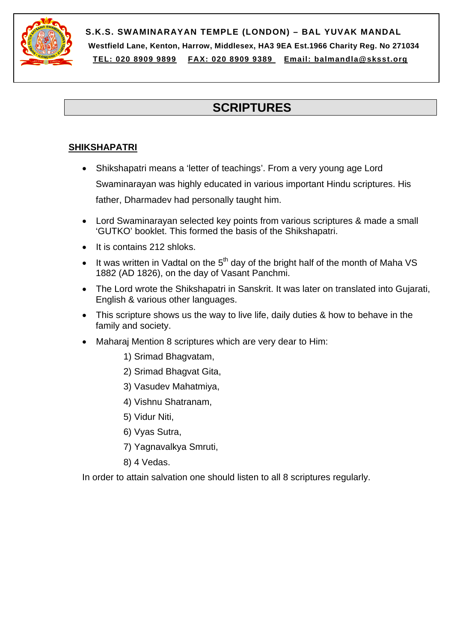

**S.K.S. SWAMINARAYAN TEMPLE (LONDON) – BAL YUVAK MANDAL Westfield Lane, Kenton, Harrow, Middlesex, HA3 9EA Est.1966 Charity Reg. No 271034 TEL: 020 8909 9899 FAX: 020 8909 9389 Email: balmandla@sksst.org**

# **SCRIPTURES**

## **SHIKSHAPATRI**

- Shikshapatri means a 'letter of teachings'. From a very young age Lord Swaminarayan was highly educated in various important Hindu scriptures. His father, Dharmadev had personally taught him.
- Lord Swaminarayan selected key points from various scriptures & made a small 'GUTKO' booklet. This formed the basis of the Shikshapatri.
- It is contains 212 shloks.
- It was written in Vadtal on the  $5<sup>th</sup>$  day of the bright half of the month of Maha VS 1882 (AD 1826), on the day of Vasant Panchmi.
- The Lord wrote the Shikshapatri in Sanskrit. It was later on translated into Gujarati, English & various other languages.
- This scripture shows us the way to live life, daily duties & how to behave in the family and society.
- Maharaj Mention 8 scriptures which are very dear to Him:
	- 1) Srimad Bhagvatam,
	- 2) Srimad Bhagvat Gita,
	- 3) Vasudev Mahatmiya,
	- 4) Vishnu Shatranam,
	- 5) Vidur Niti,
	- 6) Vyas Sutra,
	- 7) Yagnavalkya Smruti,
	- 8) 4 Vedas.

In order to attain salvation one should listen to all 8 scriptures regularly.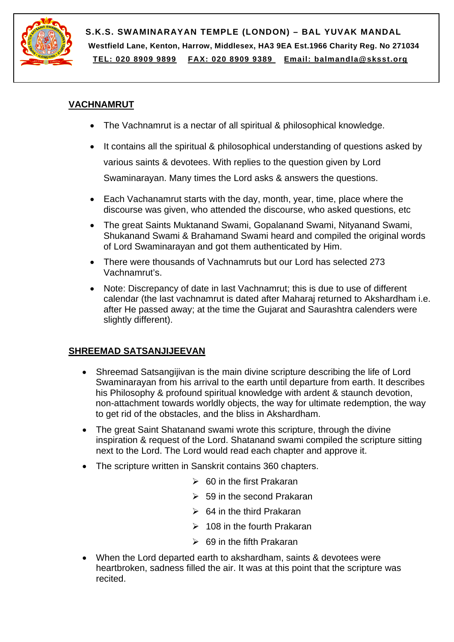

**S.K.S. SWAMINARAYAN TEMPLE (LONDON) – BAL YUVAK MANDAL Westfield Lane, Kenton, Harrow, Middlesex, HA3 9EA Est.1966 Charity Reg. No 271034 TEL: 020 8909 9899 FAX: 020 8909 9389 Email: balmandla@sksst.org**

#### **VACHNAMRUT**

- The Vachnamrut is a nectar of all spiritual & philosophical knowledge.
- It contains all the spiritual & philosophical understanding of questions asked by various saints & devotees. With replies to the question given by Lord Swaminarayan. Many times the Lord asks & answers the questions.
- Each Vachanamrut starts with the day, month, year, time, place where the discourse was given, who attended the discourse, who asked questions, etc
- The great Saints Muktanand Swami, Gopalanand Swami, Nityanand Swami, Shukanand Swami & Brahamand Swami heard and compiled the original words of Lord Swaminarayan and got them authenticated by Him.
- There were thousands of Vachnamruts but our Lord has selected 273 Vachnamrut's.
- Note: Discrepancy of date in last Vachnamrut: this is due to use of different calendar (the last vachnamrut is dated after Maharaj returned to Akshardham i.e. after He passed away; at the time the Gujarat and Saurashtra calenders were slightly different).

# **SHREEMAD SATSANJIJEEVAN**

- Shreemad Satsangijivan is the main divine scripture describing the life of Lord Swaminarayan from his arrival to the earth until departure from earth. It describes his Philosophy & profound spiritual knowledge with ardent & staunch devotion, non-attachment towards worldly objects, the way for ultimate redemption, the way to get rid of the obstacles, and the bliss in Akshardham.
- The great Saint Shatanand swami wrote this scripture, through the divine inspiration & request of the Lord. Shatanand swami compiled the scripture sitting next to the Lord. The Lord would read each chapter and approve it.
- The scripture written in Sanskrit contains 360 chapters.
	- $\geqslant 60$  in the first Prakaran
	- $\geq$  59 in the second Prakaran
	- $\geqslant$  64 in the third Prakaran
	- $\geq 108$  in the fourth Prakaran
	- $\geqslant$  69 in the fifth Prakaran
- When the Lord departed earth to akshardham, saints & devotees were heartbroken, sadness filled the air. It was at this point that the scripture was recited.